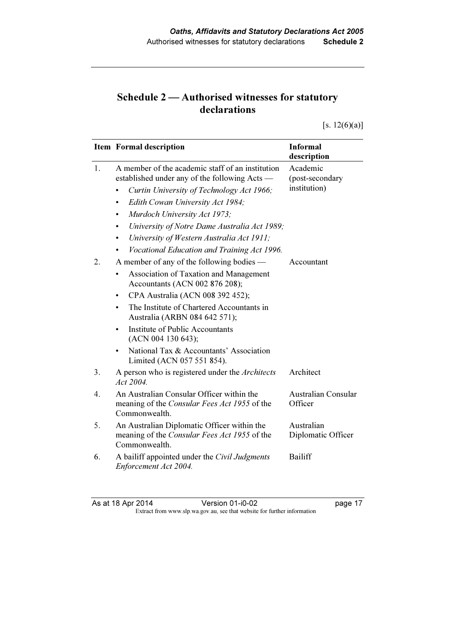## Schedule 2 — Authorised witnesses for statutory declarations

[s.  $12(6)(a)$ ]

|                | <b>Item Formal description</b>                                                                                    | <b>Informal</b><br>description        |
|----------------|-------------------------------------------------------------------------------------------------------------------|---------------------------------------|
| $\mathbf{1}$ . | A member of the academic staff of an institution<br>established under any of the following Acts —                 | Academic<br>(post-secondary           |
|                | Curtin University of Technology Act 1966;                                                                         | institution)                          |
|                | Edith Cowan University Act 1984;<br>٠                                                                             |                                       |
|                | Murdoch University Act 1973;<br>$\bullet$                                                                         |                                       |
|                | University of Notre Dame Australia Act 1989;<br>٠                                                                 |                                       |
|                | University of Western Australia Act 1911;<br>$\bullet$                                                            |                                       |
|                | Vocational Education and Training Act 1996.                                                                       |                                       |
| 2.             | A member of any of the following bodies —                                                                         | Accountant                            |
|                | Association of Taxation and Management<br>Accountants (ACN 002 876 208);                                          |                                       |
|                | CPA Australia (ACN 008 392 452);<br>$\bullet$                                                                     |                                       |
|                | The Institute of Chartered Accountants in<br>Australia (ARBN 084 642 571);                                        |                                       |
|                | Institute of Public Accountants<br>(ACN 004 130 643);                                                             |                                       |
|                | National Tax & Accountants' Association<br>Limited (ACN 057 551 854).                                             |                                       |
| 3.             | A person who is registered under the Architects<br>Act 2004.                                                      | Architect                             |
| $4_{\cdot}$    | An Australian Consular Officer within the<br>meaning of the <i>Consular Fees Act 1955</i> of the<br>Commonwealth. | <b>Australian Consular</b><br>Officer |
| 5.             | An Australian Diplomatic Officer within the                                                                       | Australian                            |
|                | meaning of the Consular Fees Act 1955 of the<br>Commonwealth.                                                     | Diplomatic Officer                    |
| 6.             | A bailiff appointed under the Civil Judgments<br>Enforcement Act 2004.                                            | Bailiff                               |

As at 18 Apr 2014 Version 01-i0-02 page 17 Extract from www.slp.wa.gov.au, see that website for further information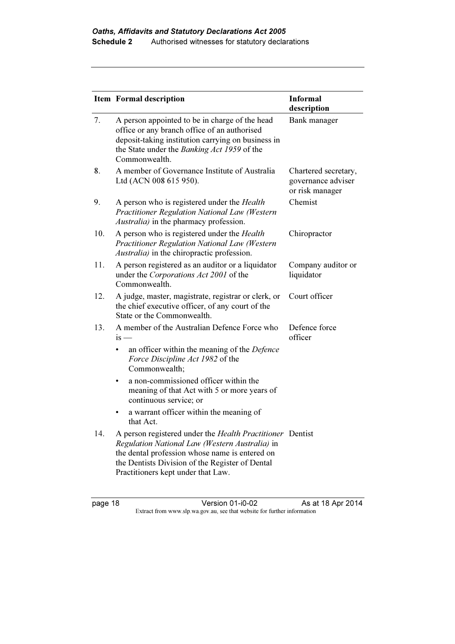|     | <b>Item Formal description</b>                                                                                                                                                                                                                         | <b>Informal</b><br>description                                |
|-----|--------------------------------------------------------------------------------------------------------------------------------------------------------------------------------------------------------------------------------------------------------|---------------------------------------------------------------|
| 7.  | A person appointed to be in charge of the head<br>office or any branch office of an authorised<br>deposit-taking institution carrying on business in<br>the State under the Banking Act 1959 of the<br>Commonwealth.                                   | Bank manager                                                  |
| 8.  | A member of Governance Institute of Australia<br>Ltd (ACN 008 615 950).                                                                                                                                                                                | Chartered secretary,<br>governance adviser<br>or risk manager |
| 9.  | A person who is registered under the <i>Health</i><br><b>Practitioner Regulation National Law (Western</b><br>Australia) in the pharmacy profession.                                                                                                   | Chemist                                                       |
| 10. | A person who is registered under the <i>Health</i><br>Practitioner Regulation National Law (Western<br>Australia) in the chiropractic profession.                                                                                                      | Chiropractor                                                  |
| 11. | A person registered as an auditor or a liquidator<br>under the Corporations Act 2001 of the<br>Commonwealth.                                                                                                                                           | Company auditor or<br>liquidator                              |
| 12. | A judge, master, magistrate, registrar or clerk, or<br>the chief executive officer, of any court of the<br>State or the Commonwealth.                                                                                                                  | Court officer                                                 |
| 13. | A member of the Australian Defence Force who<br>$is -$                                                                                                                                                                                                 | Defence force<br>officer                                      |
|     | an officer within the meaning of the Defence<br>Force Discipline Act 1982 of the<br>Commonwealth;                                                                                                                                                      |                                                               |
|     | a non-commissioned officer within the<br>$\bullet$<br>meaning of that Act with 5 or more years of<br>continuous service; or                                                                                                                            |                                                               |
|     | a warrant officer within the meaning of<br>that Act.                                                                                                                                                                                                   |                                                               |
| 14. | A person registered under the Health Practitioner Dentist<br>Regulation National Law (Western Australia) in<br>the dental profession whose name is entered on<br>the Dentists Division of the Register of Dental<br>Practitioners kept under that Law. |                                                               |

page 18 Version 01-i0-02 As at 18 Apr 2014 Extract from www.slp.wa.gov.au, see that website for further information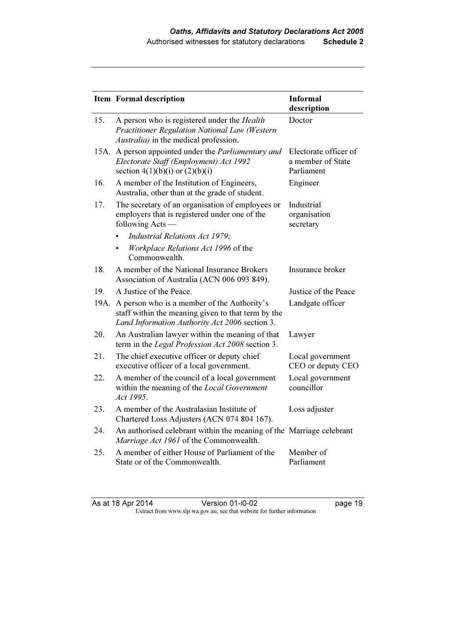|      | <b>Item Formal description</b>                                                                                                                      | <b>Informal</b><br>description                           |
|------|-----------------------------------------------------------------------------------------------------------------------------------------------------|----------------------------------------------------------|
| 15.  | A person who is registered under the <i>Health</i><br>Practitioner Regulation National Law (Western<br>Australia) in the medical profession.        | Doctor                                                   |
| 15A. | A person appointed under the Parliamentary and<br>Electorate Staff (Employment) Act 1992<br>section $4(1)(b)(i)$ or $(2)(b)(i)$                     | Electorate officer of<br>a member of State<br>Parliament |
| 16.  | A member of the Institution of Engineers,<br>Australia, other than at the grade of student.                                                         | Engineer                                                 |
| 17.  | The secretary of an organisation of employees or<br>employers that is registered under one of the<br>following Acts —                               | Industrial<br>organisation<br>secretary                  |
|      | <b>Industrial Relations Act 1979;</b><br>$\bullet$                                                                                                  |                                                          |
|      | Workplace Relations Act 1996 of the<br>Commonwealth.                                                                                                |                                                          |
| 18.  | A member of the National Insurance Brokers<br>Association of Australia (ACN 006 093 849).                                                           | Insurance broker                                         |
| 19.  | A Justice of the Peace.                                                                                                                             | Justice of the Peace                                     |
| 19A. | A person who is a member of the Authority's<br>staff within the meaning given to that term by the<br>Land Information Authority Act 2006 section 3. | Landgate officer                                         |
| 20.  | An Australian lawyer within the meaning of that<br>term in the Legal Profession Act 2008 section 3.                                                 | Lawyer                                                   |
| 21.  | The chief executive officer or deputy chief<br>executive officer of a local government.                                                             | Local government<br>CEO or deputy CEO                    |
| 22.  | A member of the council of a local government<br>within the meaning of the Local Government<br>Act 1995.                                            | Local government<br>councillor                           |
| 23.  | A member of the Australasian Institute of<br>Chartered Loss Adjusters (ACN 074 804 167).                                                            | Loss adjuster                                            |
| 24.  | An authorised celebrant within the meaning of the Marriage celebrant<br>Marriage Act 1961 of the Commonwealth.                                      |                                                          |
| 25.  | A member of either House of Parliament of the<br>State or of the Commonwealth.                                                                      | Member of<br>Parliament                                  |

As at 18 Apr 2014 Version 01-i0-02 page 19 Extract from www.slp.wa.gov.au, see that website for further information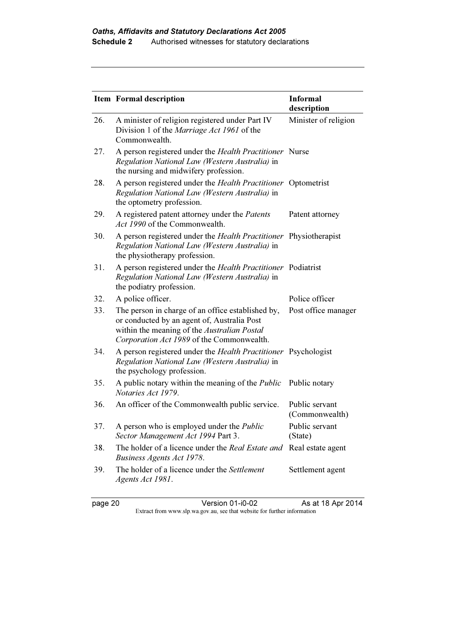|     | <b>Item Formal description</b>                                                                                                                                                               | <b>Informal</b><br>description   |
|-----|----------------------------------------------------------------------------------------------------------------------------------------------------------------------------------------------|----------------------------------|
| 26. | A minister of religion registered under Part IV<br>Division 1 of the Marriage Act 1961 of the<br>Commonwealth.                                                                               | Minister of religion             |
| 27. | A person registered under the <i>Health Practitioner</i> Nurse<br>Regulation National Law (Western Australia) in<br>the nursing and midwifery profession.                                    |                                  |
| 28. | A person registered under the Health Practitioner Optometrist<br>Regulation National Law (Western Australia) in<br>the optometry profession.                                                 |                                  |
| 29. | A registered patent attorney under the Patents<br>Act 1990 of the Commonwealth.                                                                                                              | Patent attorney                  |
| 30. | A person registered under the <i>Health Practitioner</i> Physiotherapist<br>Regulation National Law (Western Australia) in<br>the physiotherapy profession.                                  |                                  |
| 31. | A person registered under the Health Practitioner Podiatrist<br>Regulation National Law (Western Australia) in<br>the podiatry profession.                                                   |                                  |
| 32. | A police officer.                                                                                                                                                                            | Police officer                   |
| 33. | The person in charge of an office established by,<br>or conducted by an agent of, Australia Post<br>within the meaning of the Australian Postal<br>Corporation Act 1989 of the Commonwealth. | Post office manager              |
| 34. | A person registered under the Health Practitioner Psychologist<br>Regulation National Law (Western Australia) in<br>the psychology profession.                                               |                                  |
| 35. | A public notary within the meaning of the <i>Public</i><br>Notaries Act 1979.                                                                                                                | Public notary                    |
| 36. | An officer of the Commonwealth public service.                                                                                                                                               | Public servant<br>(Commonwealth) |
| 37. | A person who is employed under the <i>Public</i><br>Sector Management Act 1994 Part 3.                                                                                                       | Public servant<br>(State)        |
| 38. | The holder of a licence under the Real Estate and<br>Business Agents Act 1978.                                                                                                               | Real estate agent                |
| 39. | The holder of a licence under the Settlement<br>Agents Act 1981.                                                                                                                             | Settlement agent                 |

page 20 Version 01-i0-02 As at 18 Apr 2014 Extract from www.slp.wa.gov.au, see that website for further information